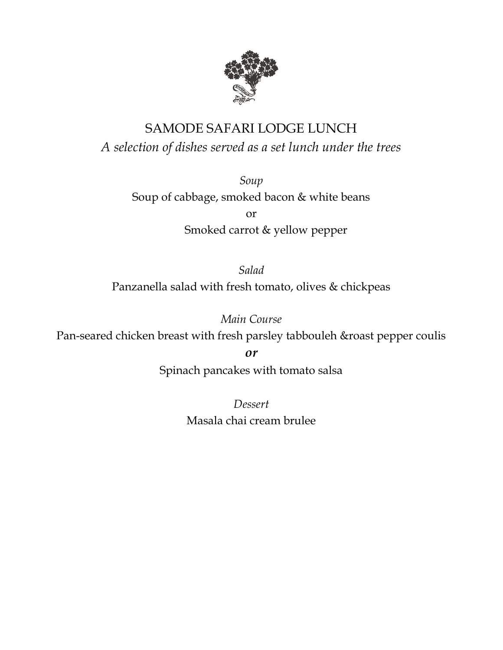

# SAMODE SAFARI LODGE LUNCH

*A selection of dishes served as a set lunch under the trees*

*Soup*

Soup of cabbage, smoked bacon & white beans

or Smoked carrot & yellow pepper

*Salad* Panzanella salad with fresh tomato, olives & chickpeas

*Main Course* Pan-seared chicken breast with fresh parsley tabbouleh &roast pepper coulis

*or*

Spinach pancakes with tomato salsa

*Dessert* Masala chai cream brulee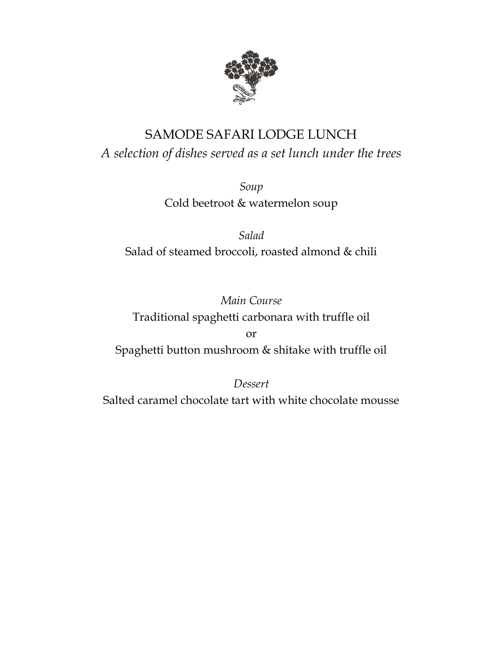

# SAMODE SAFARI LODGE LUNCH *A selection of dishes served as a set lunch under the trees*

*Soup* Cold beetroot & watermelon soup

*Salad* Salad of steamed broccoli, roasted almond & chili

*Main Course* Traditional spaghetti carbonara with truffle oil or

Spaghetti button mushroom & shitake with truffle oil

*Dessert*

Salted caramel chocolate tart with white chocolate mousse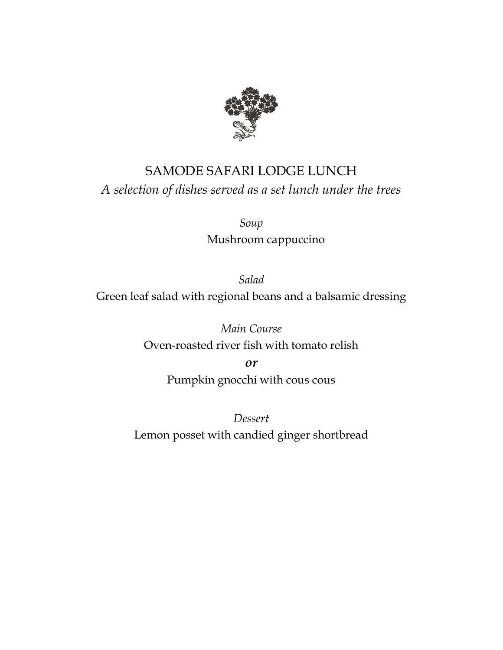

# SAMODE SAFARI LODGE LUNCH *A selection of dishes served as a set lunch under the trees*

*Soup* Mushroom cappuccino

*Salad* Green leaf salad with regional beans and a balsamic dressing

> *Main Course* Oven-roasted river fish with tomato relish

> > *or* Pumpkin gnocchi with cous cous

*Dessert* Lemon posset with candied ginger shortbread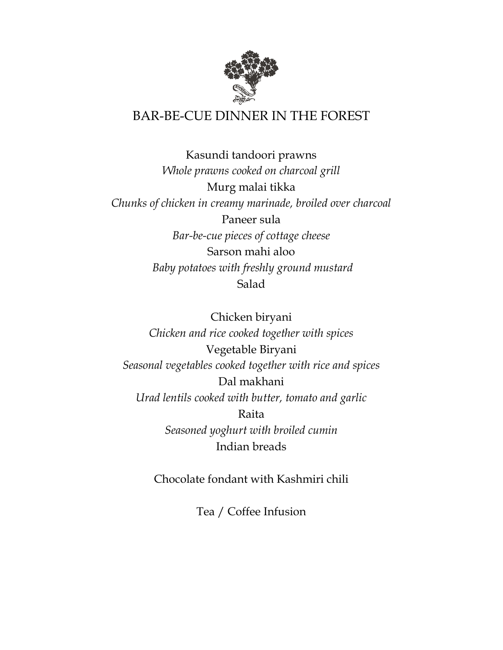

## BAR-BE-CUE DINNER IN THE FOREST

Kasundi tandoori prawns *Whole prawns cooked on charcoal grill* Murg malai tikka *Chunks of chicken in creamy marinade, broiled over charcoal* Paneer sula *Bar-be-cue pieces of cottage cheese* Sarson mahi aloo  *Baby potatoes with freshly ground mustard* Salad

Chicken biryani *Chicken and rice cooked together with spices* Vegetable Biryani *Seasonal vegetables cooked together with rice and spices* Dal makhani *Urad lentils cooked with butter, tomato and garlic* Raita *Seasoned yoghurt with broiled cumin* Indian breads

Chocolate fondant with Kashmiri chili

Tea / Coffee Infusion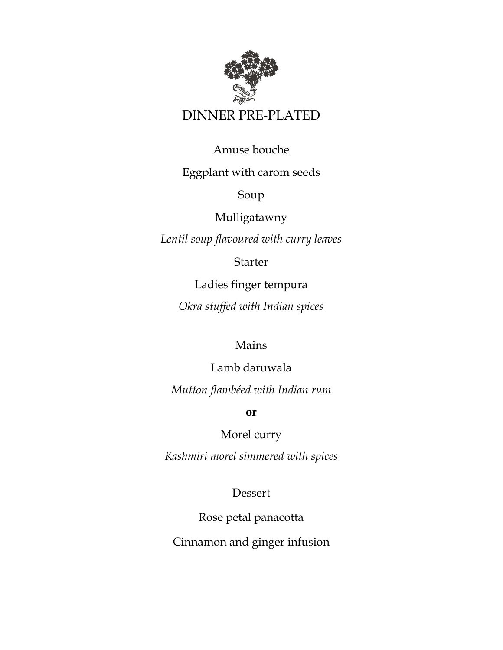

## DINNER PRE-PLATED

#### Amuse bouche

#### Eggplant with carom seeds

Soup

Mulligatawny

*Lentil soup flavoured with curry leaves*

**Starter** 

Ladies finger tempura

*Okra stuffed with Indian spices*

### Mains

Lamb daruwala *Mutton flambéed with Indian rum*

**or**

Morel curry

*Kashmiri morel simmered with spices*

Dessert

Rose petal panacotta Cinnamon and ginger infusion